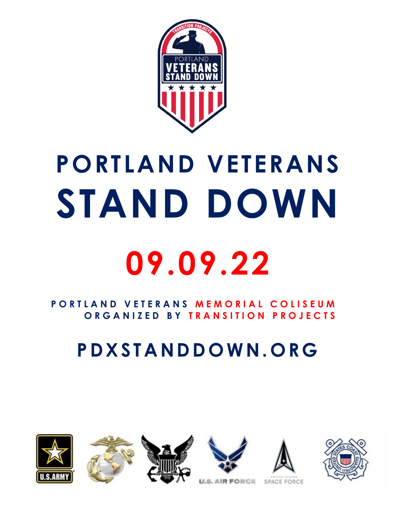

# **PORTLAND VETERANS STAND DOWN 09.09.22**

#### **P O R T L A N D V E T E R A N S M E M O R I A L C O L I S E U M O R G A N I Z E D B Y T R A N S I T I O N P R O J E C T S**

# **P D X S T A N D D O W N. O R G**













**U.S. AIR FORCE**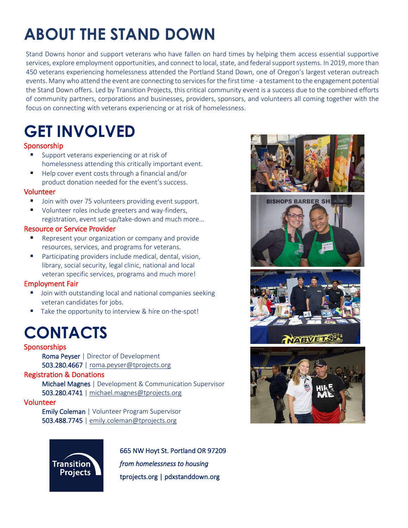# **ABOUT THE STAND DOWN**

Stand Downs honor and support veterans who have fallen on hard times by helping them access essential supportive services, explore employment opportunities, and connect to local, state, and federal support systems. In 2019, more than 450 veterans experiencing homelessness attended the Portland Stand Down, one of Oregon's largest veteran outreach events. Many who attend the event are connecting to services for the first time - a testament to the engagement potential the Stand Down offers. Led by Transition Projects, this critical community event is a success due to the combined efforts of community partners, corporations and businesses, providers, sponsors, and volunteers all coming together with the focus on connecting with veterans experiencing or at risk of homelessness.

## **GET INVOLVED**

#### Sponsorship

- Support veterans experiencing or at risk of homelessness attending this critically important event.
- Help cover event costs through a financial and/or product donation needed for the event's success.

#### Volunteer

- Join with over 75 volunteers providing event support.
- Volunteer roles include greeters and way-finders, registration, event set-up/take-down and much more...

#### Resource or Service Provider

- Represent your organization or company and provide resources, services, and programs for veterans.
- Participating providers include medical, dental, vision, library, social security, legal clinic, national and local veteran specific services, programs and much more!

#### Employment Fair

- Join with outstanding local and national companies seeking veteran candidates for jobs.
- Take the opportunity to interview & hire on-the-spot!

### **CONTACTS**

#### Sponsorships

Roma Peyser | Director of Development 503.280.4667 | [roma.peyser@tprojects.org](mailto:roma.peyser@tprojects.org)

#### Registration & Donations

Michael Magnes | Development & Communication Supervisor 503.280.4741 | [michael.magnes@tprojects.org](mailto:michael.magnes@tprojects.org)

#### Volunteer

Emily Coleman | Volunteer Program Supervisor 503.488.7745 | [emily.coleman@tprojects.org](mailto:emily.coleman@tprojects.org)



665 NW Hoyt St. Portland OR 97209 *from homelessness to housing*  tprojects.org | pdxstanddown.org